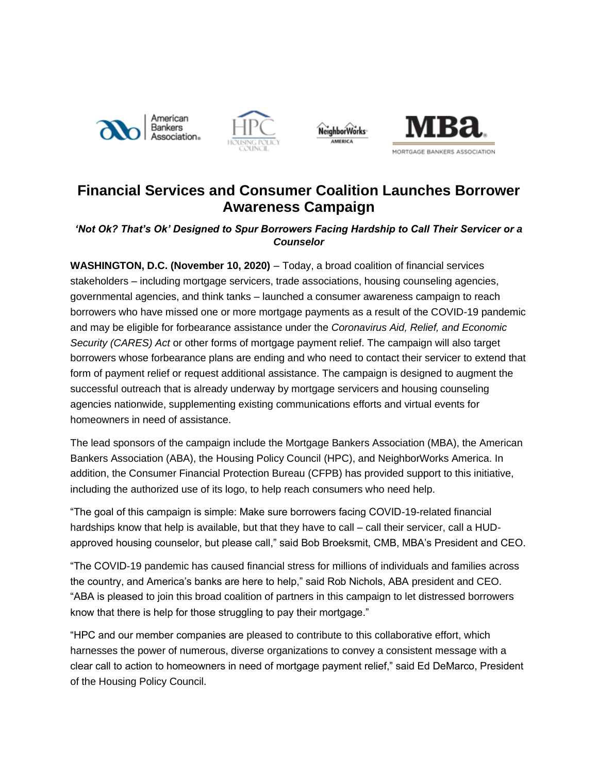







## **Financial Services and Consumer Coalition Launches Borrower Awareness Campaign**

## *'Not Ok? That's Ok' Designed to Spur Borrowers Facing Hardship to Call Their Servicer or a Counselor*

**WASHINGTON, D.C. (November 10, 2020)** – Today, a broad coalition of financial services stakeholders – including mortgage servicers, trade associations, housing counseling agencies, governmental agencies, and think tanks – launched a consumer awareness campaign to reach borrowers who have missed one or more mortgage payments as a result of the COVID-19 pandemic and may be eligible for forbearance assistance under the *Coronavirus Aid, Relief, and Economic Security (CARES) Act* or other forms of mortgage payment relief. The campaign will also target borrowers whose forbearance plans are ending and who need to contact their servicer to extend that form of payment relief or request additional assistance. The campaign is designed to augment the successful outreach that is already underway by mortgage servicers and housing counseling agencies nationwide, supplementing existing communications efforts and virtual events for homeowners in need of assistance.

The lead sponsors of the campaign include the Mortgage Bankers Association (MBA), the American Bankers Association (ABA), the Housing Policy Council (HPC), and NeighborWorks America. In addition, the Consumer Financial Protection Bureau (CFPB) has provided support to this initiative, including the authorized use of its logo, to help reach consumers who need help.

"The goal of this campaign is simple: Make sure borrowers facing COVID-19-related financial hardships know that help is available, but that they have to call – call their servicer, call a HUDapproved housing counselor, but please call," said Bob Broeksmit, CMB, MBA's President and CEO.

"The COVID-19 pandemic has caused financial stress for millions of individuals and families across the country, and America's banks are here to help," said Rob Nichols, ABA president and CEO. "ABA is pleased to join this broad coalition of partners in this campaign to let distressed borrowers know that there is help for those struggling to pay their mortgage."

"HPC and our member companies are pleased to contribute to this collaborative effort, which harnesses the power of numerous, diverse organizations to convey a consistent message with a clear call to action to homeowners in need of mortgage payment relief," said Ed DeMarco, President of the Housing Policy Council.